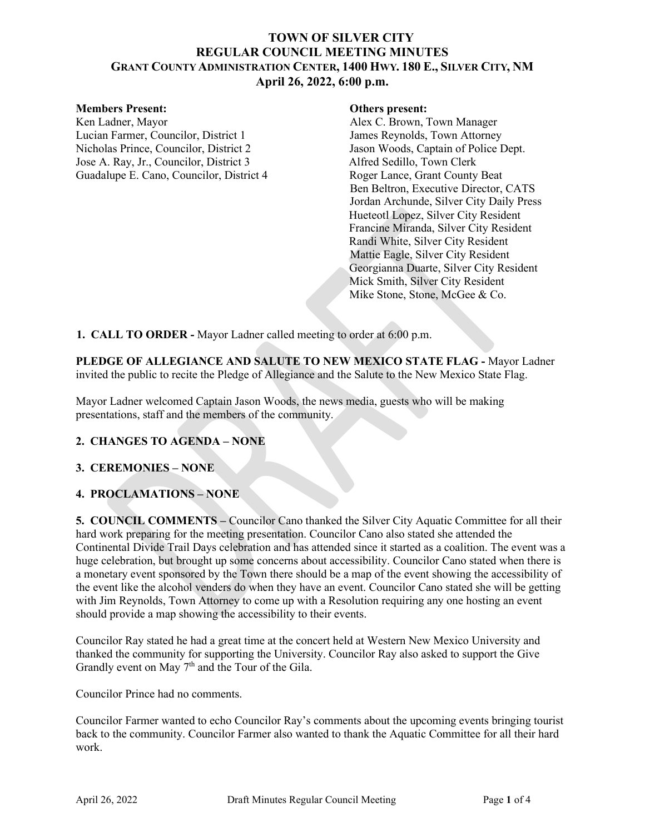## **TOWN OF SILVER CITY REGULAR COUNCIL MEETING MINUTES GRANT COUNTY ADMINISTRATION CENTER, 1400 HWY. 180 E., SILVER CITY, NM April 26, 2022, 6:00 p.m.**

### **Members Present: Others** present:

Ken Ladner, Mayor Alex C. Brown, Town Manager Lucian Farmer, Councilor, District 1 James Reynolds, Town Attorney Nicholas Prince, Councilor, District 2 Jason Woods, Captain of Police Dept. Jose A. Ray, Jr., Councilor, District 3 Alfred Sedillo, Town Clerk Guadalupe E. Cano, Councilor, District 4 Roger Lance, Grant County Beat

 Ben Beltron, Executive Director, CATS Jordan Archunde, Silver City Daily Press Hueteotl Lopez, Silver City Resident Francine Miranda, Silver City Resident Randi White, Silver City Resident Mattie Eagle, Silver City Resident Georgianna Duarte, Silver City Resident Mick Smith, Silver City Resident Mike Stone, Stone, McGee & Co.

**1. CALL TO ORDER -** Mayor Ladner called meeting to order at 6:00 p.m.

**PLEDGE OF ALLEGIANCE AND SALUTE TO NEW MEXICO STATE FLAG -** Mayor Ladner invited the public to recite the Pledge of Allegiance and the Salute to the New Mexico State Flag.

Mayor Ladner welcomed Captain Jason Woods, the news media, guests who will be making presentations, staff and the members of the community.

## **2. CHANGES TO AGENDA – NONE**

### **3. CEREMONIES – NONE**

## **4. PROCLAMATIONS – NONE**

**5. COUNCIL COMMENTS –** Councilor Cano thanked the Silver City Aquatic Committee for all their hard work preparing for the meeting presentation. Councilor Cano also stated she attended the Continental Divide Trail Days celebration and has attended since it started as a coalition. The event was a huge celebration, but brought up some concerns about accessibility. Councilor Cano stated when there is a monetary event sponsored by the Town there should be a map of the event showing the accessibility of the event like the alcohol venders do when they have an event. Councilor Cano stated she will be getting with Jim Reynolds, Town Attorney to come up with a Resolution requiring any one hosting an event should provide a map showing the accessibility to their events.

Councilor Ray stated he had a great time at the concert held at Western New Mexico University and thanked the community for supporting the University. Councilor Ray also asked to support the Give Grandly event on May  $7<sup>th</sup>$  and the Tour of the Gila.

Councilor Prince had no comments.

Councilor Farmer wanted to echo Councilor Ray's comments about the upcoming events bringing tourist back to the community. Councilor Farmer also wanted to thank the Aquatic Committee for all their hard work.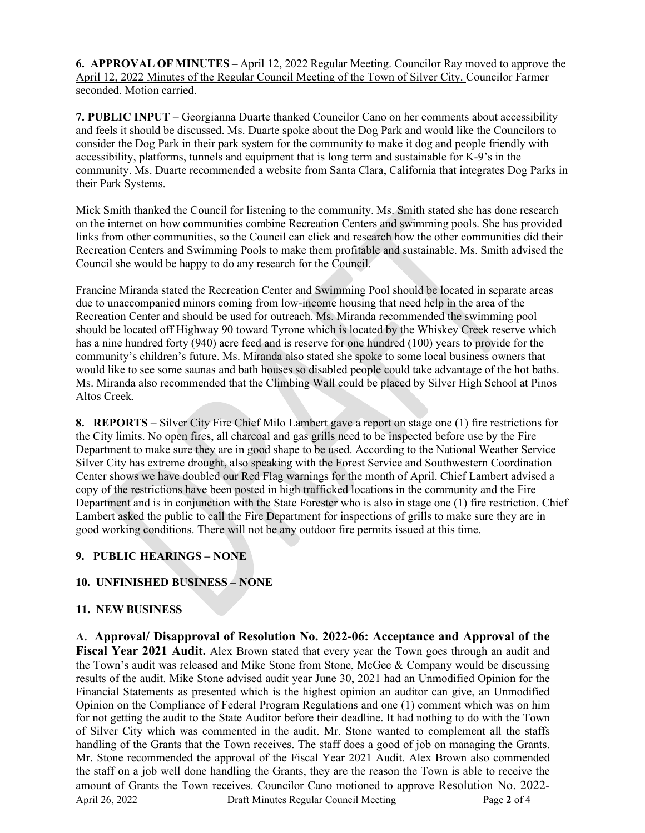**6. APPROVAL OF MINUTES –** April 12, 2022 Regular Meeting. Councilor Ray moved to approve the April 12, 2022 Minutes of the Regular Council Meeting of the Town of Silver City. Councilor Farmer seconded. Motion carried.

**7. PUBLIC INPUT –** Georgianna Duarte thanked Councilor Cano on her comments about accessibility and feels it should be discussed. Ms. Duarte spoke about the Dog Park and would like the Councilors to consider the Dog Park in their park system for the community to make it dog and people friendly with accessibility, platforms, tunnels and equipment that is long term and sustainable for K-9's in the community. Ms. Duarte recommended a website from Santa Clara, California that integrates Dog Parks in their Park Systems.

Mick Smith thanked the Council for listening to the community. Ms. Smith stated she has done research on the internet on how communities combine Recreation Centers and swimming pools. She has provided links from other communities, so the Council can click and research how the other communities did their Recreation Centers and Swimming Pools to make them profitable and sustainable. Ms. Smith advised the Council she would be happy to do any research for the Council.

Francine Miranda stated the Recreation Center and Swimming Pool should be located in separate areas due to unaccompanied minors coming from low-income housing that need help in the area of the Recreation Center and should be used for outreach. Ms. Miranda recommended the swimming pool should be located off Highway 90 toward Tyrone which is located by the Whiskey Creek reserve which has a nine hundred forty (940) acre feed and is reserve for one hundred (100) years to provide for the community's children's future. Ms. Miranda also stated she spoke to some local business owners that would like to see some saunas and bath houses so disabled people could take advantage of the hot baths. Ms. Miranda also recommended that the Climbing Wall could be placed by Silver High School at Pinos Altos Creek.

**8. REPORTS –** Silver City Fire Chief Milo Lambert gave a report on stage one (1) fire restrictions for the City limits. No open fires, all charcoal and gas grills need to be inspected before use by the Fire Department to make sure they are in good shape to be used. According to the National Weather Service Silver City has extreme drought, also speaking with the Forest Service and Southwestern Coordination Center shows we have doubled our Red Flag warnings for the month of April. Chief Lambert advised a copy of the restrictions have been posted in high trafficked locations in the community and the Fire Department and is in conjunction with the State Forester who is also in stage one (1) fire restriction. Chief Lambert asked the public to call the Fire Department for inspections of grills to make sure they are in good working conditions. There will not be any outdoor fire permits issued at this time.

## **9. PUBLIC HEARINGS – NONE**

### **10. UNFINISHED BUSINESS – NONE**

### **11. NEW BUSINESS**

April 26, 2022 Draft Minutes Regular Council Meeting Page **2** of 4 **A. Approval/ Disapproval of Resolution No. 2022-06: Acceptance and Approval of the Fiscal Year 2021 Audit.** Alex Brown stated that every year the Town goes through an audit and the Town's audit was released and Mike Stone from Stone, McGee & Company would be discussing results of the audit. Mike Stone advised audit year June 30, 2021 had an Unmodified Opinion for the Financial Statements as presented which is the highest opinion an auditor can give, an Unmodified Opinion on the Compliance of Federal Program Regulations and one (1) comment which was on him for not getting the audit to the State Auditor before their deadline. It had nothing to do with the Town of Silver City which was commented in the audit. Mr. Stone wanted to complement all the staffs handling of the Grants that the Town receives. The staff does a good of job on managing the Grants. Mr. Stone recommended the approval of the Fiscal Year 2021 Audit. Alex Brown also commended the staff on a job well done handling the Grants, they are the reason the Town is able to receive the amount of Grants the Town receives. Councilor Cano motioned to approve Resolution No. 2022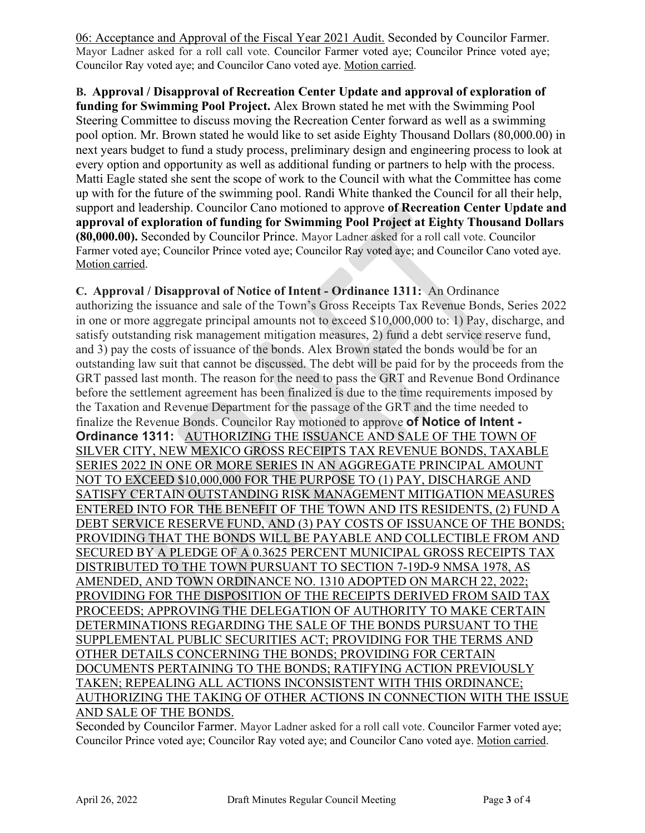06: Acceptance and Approval of the Fiscal Year 2021 Audit. Seconded by Councilor Farmer. Mayor Ladner asked for a roll call vote. Councilor Farmer voted aye; Councilor Prince voted aye; Councilor Ray voted aye; and Councilor Cano voted aye. Motion carried.

**B. Approval / Disapproval of Recreation Center Update and approval of exploration of funding for Swimming Pool Project.** Alex Brown stated he met with the Swimming Pool Steering Committee to discuss moving the Recreation Center forward as well as a swimming pool option. Mr. Brown stated he would like to set aside Eighty Thousand Dollars (80,000.00) in next years budget to fund a study process, preliminary design and engineering process to look at every option and opportunity as well as additional funding or partners to help with the process. Matti Eagle stated she sent the scope of work to the Council with what the Committee has come up with for the future of the swimming pool. Randi White thanked the Council for all their help, support and leadership. Councilor Cano motioned to approve **of Recreation Center Update and approval of exploration of funding for Swimming Pool Project at Eighty Thousand Dollars (80,000.00).** Seconded by Councilor Prince. Mayor Ladner asked for a roll call vote. Councilor Farmer voted aye; Councilor Prince voted aye; Councilor Ray voted aye; and Councilor Cano voted aye. Motion carried.

# **C. Approval / Disapproval of Notice of Intent - Ordinance 1311:** An Ordinance

authorizing the issuance and sale of the Town's Gross Receipts Tax Revenue Bonds, Series 2022 in one or more aggregate principal amounts not to exceed \$10,000,000 to: 1) Pay, discharge, and satisfy outstanding risk management mitigation measures, 2) fund a debt service reserve fund, and 3) pay the costs of issuance of the bonds. Alex Brown stated the bonds would be for an outstanding law suit that cannot be discussed. The debt will be paid for by the proceeds from the GRT passed last month. The reason for the need to pass the GRT and Revenue Bond Ordinance before the settlement agreement has been finalized is due to the time requirements imposed by the Taxation and Revenue Department for the passage of the GRT and the time needed to finalize the Revenue Bonds. Councilor Ray motioned to approve **of Notice of Intent - Ordinance 1311:** AUTHORIZING THE ISSUANCE AND SALE OF THE TOWN OF SILVER CITY, NEW MEXICO GROSS RECEIPTS TAX REVENUE BONDS, TAXABLE SERIES 2022 IN ONE OR MORE SERIES IN AN AGGREGATE PRINCIPAL AMOUNT NOT TO EXCEED \$10,000,000 FOR THE PURPOSE TO (1) PAY, DISCHARGE AND SATISFY CERTAIN OUTSTANDING RISK MANAGEMENT MITIGATION MEASURES ENTERED INTO FOR THE BENEFIT OF THE TOWN AND ITS RESIDENTS, (2) FUND A DEBT SERVICE RESERVE FUND, AND (3) PAY COSTS OF ISSUANCE OF THE BONDS; PROVIDING THAT THE BONDS WILL BE PAYABLE AND COLLECTIBLE FROM AND SECURED BY A PLEDGE OF A 0.3625 PERCENT MUNICIPAL GROSS RECEIPTS TAX DISTRIBUTED TO THE TOWN PURSUANT TO SECTION 7-19D-9 NMSA 1978, AS AMENDED, AND TOWN ORDINANCE NO. 1310 ADOPTED ON MARCH 22, 2022; PROVIDING FOR THE DISPOSITION OF THE RECEIPTS DERIVED FROM SAID TAX PROCEEDS; APPROVING THE DELEGATION OF AUTHORITY TO MAKE CERTAIN DETERMINATIONS REGARDING THE SALE OF THE BONDS PURSUANT TO THE SUPPLEMENTAL PUBLIC SECURITIES ACT; PROVIDING FOR THE TERMS AND OTHER DETAILS CONCERNING THE BONDS; PROVIDING FOR CERTAIN DOCUMENTS PERTAINING TO THE BONDS; RATIFYING ACTION PREVIOUSLY TAKEN; REPEALING ALL ACTIONS INCONSISTENT WITH THIS ORDINANCE; AUTHORIZING THE TAKING OF OTHER ACTIONS IN CONNECTION WITH THE ISSUE AND SALE OF THE BONDS.

Seconded by Councilor Farmer. Mayor Ladner asked for a roll call vote. Councilor Farmer voted aye; Councilor Prince voted aye; Councilor Ray voted aye; and Councilor Cano voted aye. Motion carried.